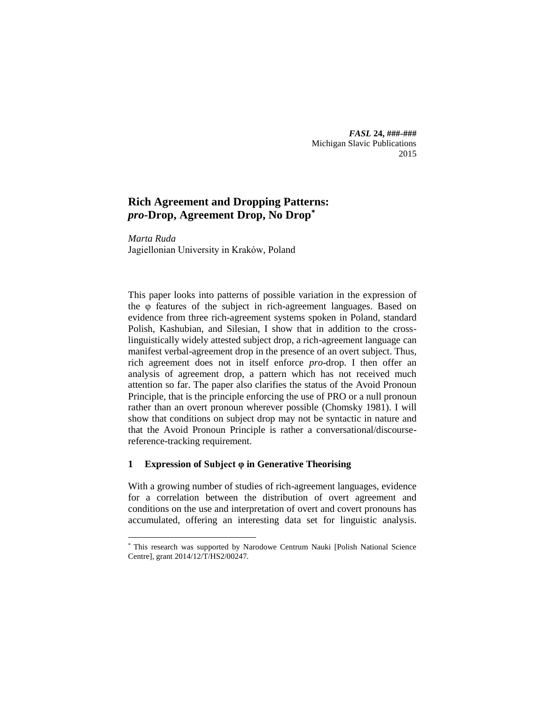*FASL* **24, ###-###** Michigan Slavic Publications 2015

# **Rich Agreement and Dropping Patterns:**  *pro***-Drop, Agreement Drop, No Drop\***

*Marta Ruda* Jagiellonian University in Kraków, Poland

This paper looks into patterns of possible variation in the expression of the φ features of the subject in rich-agreement languages. Based on evidence from three rich-agreement systems spoken in Poland, standard Polish, Kashubian, and Silesian, I show that in addition to the crosslinguistically widely attested subject drop, a rich-agreement language can manifest verbal-agreement drop in the presence of an overt subject. Thus, rich agreement does not in itself enforce *pro*-drop. I then offer an analysis of agreement drop, a pattern which has not received much attention so far. The paper also clarifies the status of the Avoid Pronoun Principle, that is the principle enforcing the use of PRO or a null pronoun rather than an overt pronoun wherever possible (Chomsky 1981). I will show that conditions on subject drop may not be syntactic in nature and that the Avoid Pronoun Principle is rather a conversational/discoursereference-tracking requirement.

## **1 Expression of Subject φ in Generative Theorising**

1

With a growing number of studies of rich-agreement languages, evidence for a correlation between the distribution of overt agreement and conditions on the use and interpretation of overt and covert pronouns has accumulated, offering an interesting data set for linguistic analysis.

<sup>\*</sup> This research was supported by Narodowe Centrum Nauki [Polish National Science Centre], grant 2014/12/T/HS2/00247.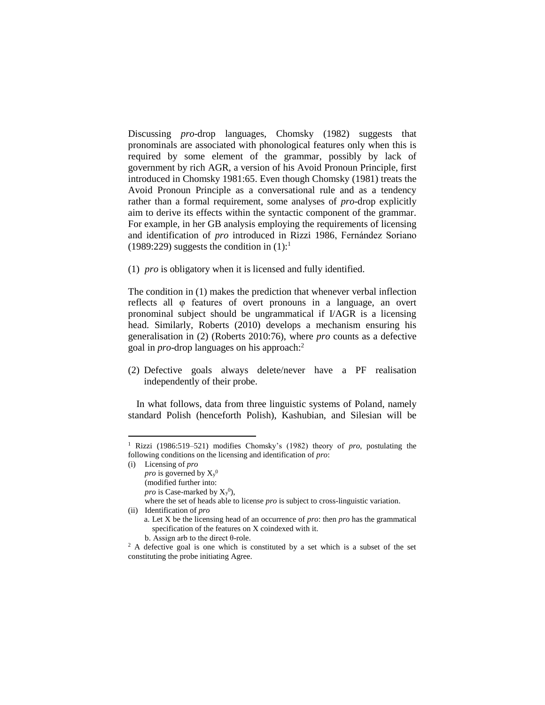Discussing *pro*-drop languages, Chomsky (1982) suggests that pronominals are associated with phonological features only when this is required by some element of the grammar, possibly by lack of government by rich AGR, a version of his Avoid Pronoun Principle, first introduced in Chomsky 1981:65. Even though Chomsky (1981) treats the Avoid Pronoun Principle as a conversational rule and as a tendency rather than a formal requirement, some analyses of *pro*-drop explicitly aim to derive its effects within the syntactic component of the grammar. For example, in her GB analysis employing the requirements of licensing and identification of *pro* introduced in Rizzi 1986, Fernández Soriano (1989:229) suggests the condition in  $(1)$ :<sup>1</sup>

(1) *pro* is obligatory when it is licensed and fully identified.

The condition in (1) makes the prediction that whenever verbal inflection reflects all φ features of overt pronouns in a language, an overt pronominal subject should be ungrammatical if I/AGR is a licensing head. Similarly, Roberts (2010) develops a mechanism ensuring his generalisation in (2) (Roberts 2010:76), where *pro* counts as a defective goal in *pro*-drop languages on his approach:<sup>2</sup>

(2) Defective goals always delete/never have a PF realisation independently of their probe.

In what follows, data from three linguistic systems of Poland, namely standard Polish (henceforth Polish), Kashubian, and Silesian will be

(i) Licensing of *pro*

-

*pro* is governed by  $X_y^0$ 

(modified further into:

*pro* is Case-marked by  $X_y^0$ ),

where the set of heads able to license *pro* is subject to cross-linguistic variation. (ii) Identification of *pro*

<sup>1</sup> Rizzi (1986:519–521) modifies Chomsky's (1982) theory of *pro*, postulating the following conditions on the licensing and identification of *pro*:

a. Let X be the licensing head of an occurrence of *pro*: then *pro* has the grammatical specification of the features on X coindexed with it.

b. Assign arb to the direct θ-role.

<sup>&</sup>lt;sup>2</sup> A defective goal is one which is constituted by a set which is a subset of the set constituting the probe initiating Agree.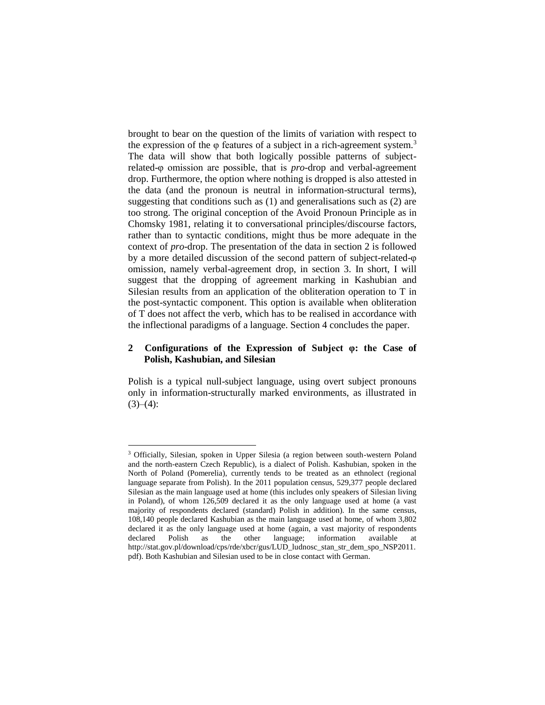brought to bear on the question of the limits of variation with respect to the expression of the  $\varphi$  features of a subject in a rich-agreement system.<sup>3</sup> The data will show that both logically possible patterns of subjectrelated-φ omission are possible, that is *pro*-drop and verbal-agreement drop. Furthermore, the option where nothing is dropped is also attested in the data (and the pronoun is neutral in information-structural terms), suggesting that conditions such as (1) and generalisations such as (2) are too strong. The original conception of the Avoid Pronoun Principle as in Chomsky 1981, relating it to conversational principles/discourse factors, rather than to syntactic conditions, might thus be more adequate in the context of *pro*-drop. The presentation of the data in section 2 is followed by a more detailed discussion of the second pattern of subject-related-φ omission, namely verbal-agreement drop, in section 3. In short, I will suggest that the dropping of agreement marking in Kashubian and Silesian results from an application of the obliteration operation to T in the post-syntactic component. This option is available when obliteration of T does not affect the verb, which has to be realised in accordance with the inflectional paradigms of a language. Section 4 concludes the paper.

#### **2 Configurations of the Expression of Subject φ: the Case of Polish, Kashubian, and Silesian**

Polish is a typical null-subject language, using overt subject pronouns only in information-structurally marked environments, as illustrated in  $(3)–(4)$ :

<sup>-</sup><sup>3</sup> Officially, Silesian, spoken in Upper Silesia (a region between south-western Poland and the north-eastern Czech Republic), is a dialect of Polish. Kashubian, spoken in the North of Poland (Pomerelia), currently tends to be treated as an ethnolect (regional language separate from Polish). In the 2011 population census, 529,377 people declared Silesian as the main language used at home (this includes only speakers of Silesian living in Poland), of whom 126,509 declared it as the only language used at home (a vast majority of respondents declared (standard) Polish in addition). In the same census, 108,140 people declared Kashubian as the main language used at home, of whom 3,802 declared it as the only language used at home (again, a vast majority of respondents declared Polish as the other language; information available at http://stat.gov.pl/download/cps/rde/xbcr/gus/LUD\_ludnosc\_stan\_str\_dem\_spo\_NSP2011. pdf). Both Kashubian and Silesian used to be in close contact with German.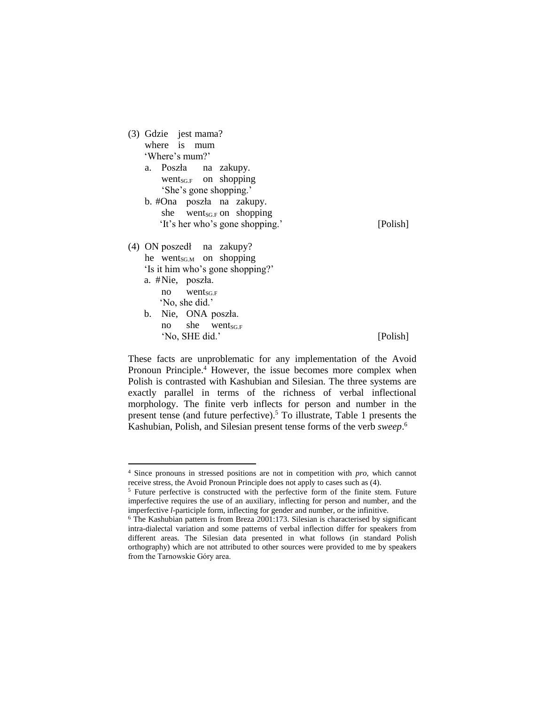- (3) Gdzie jest mama? where is mum 'Where's mum?'
	- a. Poszła na zakupy. went $s_{\text{G,F}}$  on shopping 'She's gone shopping.' b. #Ona poszła na zakupy. she went $_{\text{SGF}}$  on shopping

'It's her who's gone shopping.' [Polish]

- (4) ON poszedł na zakupy? he went $_{\text{SGM}}$  on shopping 'Is it him who's gone shopping?' a. #Nie, poszła.  $no$  went<sub>SG.F</sub> 'No, she did.'
	- b. Nie, ONA poszła.  $no$  she went<sub>SG.F</sub> 'No, SHE did.' [Polish]

-

These facts are unproblematic for any implementation of the Avoid Pronoun Principle.<sup>4</sup> However, the issue becomes more complex when Polish is contrasted with Kashubian and Silesian. The three systems are exactly parallel in terms of the richness of verbal inflectional morphology. The finite verb inflects for person and number in the present tense (and future perfective).<sup>5</sup> To illustrate, Table 1 presents the Kashubian, Polish, and Silesian present tense forms of the verb *sweep*. 6

<sup>4</sup> Since pronouns in stressed positions are not in competition with *pro*, which cannot receive stress, the Avoid Pronoun Principle does not apply to cases such as (4).

<sup>&</sup>lt;sup>5</sup> Future perfective is constructed with the perfective form of the finite stem. Future imperfective requires the use of an auxiliary, inflecting for person and number, and the imperfective *l*-participle form, inflecting for gender and number, or the infinitive.

 $6$  The Kashubian pattern is from Breza 2001:173. Silesian is characterised by significant intra-dialectal variation and some patterns of verbal inflection differ for speakers from different areas. The Silesian data presented in what follows (in standard Polish orthography) which are not attributed to other sources were provided to me by speakers from the Tarnowskie Góry area.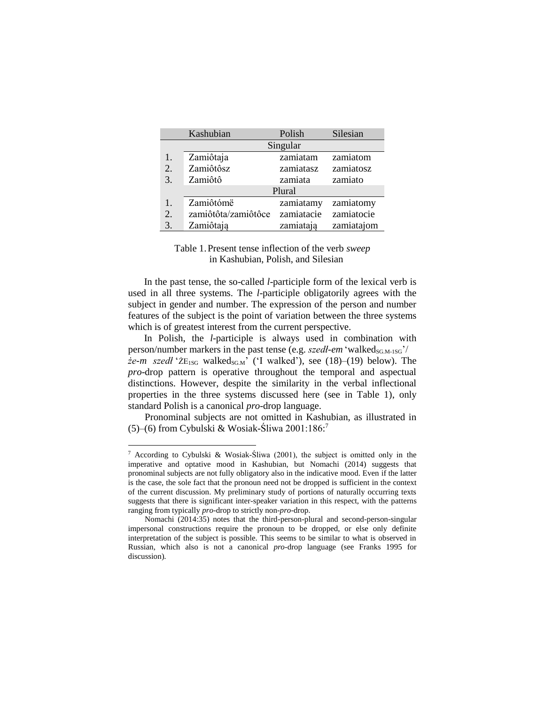|                  | Kashubian           | Polish     | Silesian   |  |  |  |  |  |  |
|------------------|---------------------|------------|------------|--|--|--|--|--|--|
|                  | Singular            |            |            |  |  |  |  |  |  |
| 1.               | Zamiôtaja           | zamiatam   | zamiatom   |  |  |  |  |  |  |
| $\overline{2}$ . | Zamiôtôsz           | zamiatasz  | zamiatosz  |  |  |  |  |  |  |
| 3.               | Zamiôtô             | zamiata    | zamiato    |  |  |  |  |  |  |
| Plural           |                     |            |            |  |  |  |  |  |  |
| 1.               | Zamiôtómë           | zamiatamy  | zamiatomy  |  |  |  |  |  |  |
| 2.               | zamiôtôta/zamiôtôce | zamiatacie | zamiatocie |  |  |  |  |  |  |
| 3.               | Zamiôtają           | zamiatają  | zamiatajom |  |  |  |  |  |  |

## Table 1.Present tense inflection of the verb *sweep* in Kashubian, Polish, and Silesian

In the past tense, the so-called *l*-participle form of the lexical verb is used in all three systems. The *l*-participle obligatorily agrees with the subject in gender and number. The expression of the person and number features of the subject is the point of variation between the three systems which is of greatest interest from the current perspective.

In Polish, the *l*-participle is always used in combination with person/number markers in the past tense (e.g. *szedł-em* 'walked<sub>SG.M-1SG</sub>'/  $\dot{z}e-m$  *szedł* ' $\dot{z}E_{1SG}$  walked<sub>SGM</sub>' ('I walked'), see (18)–(19) below). The *pro*-drop pattern is operative throughout the temporal and aspectual distinctions. However, despite the similarity in the verbal inflectional properties in the three systems discussed here (see in Table 1), only standard Polish is a canonical *pro*-drop language.

Pronominal subjects are not omitted in Kashubian, as illustrated in (5)–(6) from Cybulski & Wosiak-Śliwa 2001:186: 7

-

<sup>7</sup> According to Cybulski & Wosiak-Śliwa (2001), the subject is omitted only in the imperative and optative mood in Kashubian, but Nomachi (2014) suggests that pronominal subjects are not fully obligatory also in the indicative mood. Even if the latter is the case, the sole fact that the pronoun need not be dropped is sufficient in the context of the current discussion. My preliminary study of portions of naturally occurring texts suggests that there is significant inter-speaker variation in this respect, with the patterns ranging from typically *pro*-drop to strictly non-*pro*-drop.

Nomachi (2014:35) notes that the third-person-plural and second-person-singular impersonal constructions require the pronoun to be dropped, or else only definite interpretation of the subject is possible. This seems to be similar to what is observed in Russian, which also is not a canonical *pro*-drop language (see Franks 1995 for discussion).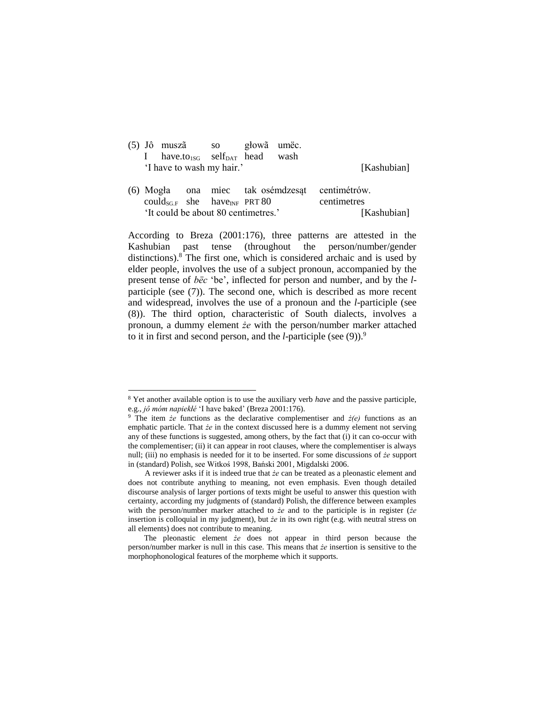|  | (5) Jô muszã so głowa umec.                            |  |  |             |
|--|--------------------------------------------------------|--|--|-------------|
|  | I have.to <sub>1SG</sub> self <sub>DAT</sub> head wash |  |  |             |
|  | 'I have to wash my hair.'                              |  |  | [Kashubian] |
|  |                                                        |  |  |             |

(6) Mogła ona miec tak osémdzesąt centimétrów.  $could_{\text{SGF}}$  she have<sub>INF</sub> PRT 80 centimetres 'It could be about 80 centimetres.' [Kashubian]

According to Breza (2001:176), three patterns are attested in the Kashubian past tense (throughout the person/number/gender distinctions). <sup>8</sup> The first one, which is considered archaic and is used by elder people, involves the use of a subject pronoun, accompanied by the present tense of *bëc* 'be', inflected for person and number, and by the *l*participle (see (7)). The second one, which is described as more recent and widespread, involves the use of a pronoun and the *l*-participle (see (8)). The third option, characteristic of South dialects, involves a pronoun, a dummy element *że* with the person/number marker attached to it in first and second person, and the *l*-participle (see (9)).<sup>9</sup>

1

<sup>8</sup> Yet another available option is to use the auxiliary verb *have* and the passive participle, e.g., *jô móm napiekłé* 'I have baked' (Breza 2001:176).

<sup>9</sup> The item *że* functions as the declarative complementiser and *ż(e)* functions as an emphatic particle. That *że* in the context discussed here is a dummy element not serving any of these functions is suggested, among others, by the fact that (i) it can co-occur with the complementiser; (ii) it can appear in root clauses, where the complementiser is always null; (iii) no emphasis is needed for it to be inserted. For some discussions of *że* support in (standard) Polish, see Witkoś 1998, Bański 2001, Migdalski 2006.

A reviewer asks if it is indeed true that *że* can be treated as a pleonastic element and does not contribute anything to meaning, not even emphasis. Even though detailed discourse analysis of larger portions of texts might be useful to answer this question with certainty, according my judgments of (standard) Polish, the difference between examples with the person/number marker attached to *że* and to the participle is in register (*że* insertion is colloquial in my judgment), but *że* in its own right (e.g. with neutral stress on all elements) does not contribute to meaning.

The pleonastic element *że* does not appear in third person because the person/number marker is null in this case. This means that *że* insertion is sensitive to the morphophonological features of the morpheme which it supports.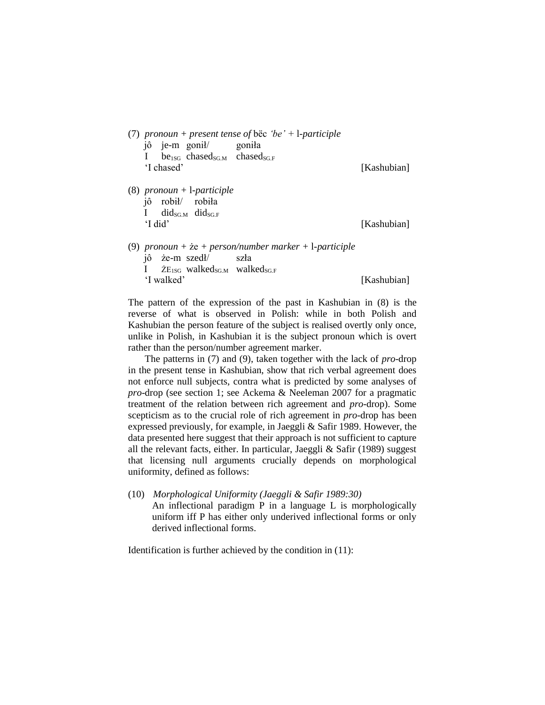|            |              |            | (7) pronoun + present tense of bec 'be' + l-participle   |             |
|------------|--------------|------------|----------------------------------------------------------|-------------|
|            |              |            | jô je-m gonił/ goniła                                    |             |
|            | $\mathbf{I}$ |            | $be_{1SG}$ chased <sub>SG.M</sub> chased <sub>SG.F</sub> |             |
|            |              | 'I chased' |                                                          | [Kashubian] |
| $\sqrt{2}$ |              |            |                                                          |             |

(8) *pronoun +* l*-participle* jô robił/ robiła I did $_{\text{SGM}}$  did $_{\text{SGF}}$ 'I did' [Kashubian]

(9) *pronoun +* że *+ person/number marker +* l*-participle* jô że-m szedł/ szła I ŻE<sub>1SG</sub> walked<sub>SGM</sub> walked<sub>SG-F</sub> 'I walked' [Kashubian]

The pattern of the expression of the past in Kashubian in (8) is the reverse of what is observed in Polish: while in both Polish and Kashubian the person feature of the subject is realised overtly only once, unlike in Polish, in Kashubian it is the subject pronoun which is overt rather than the person/number agreement marker.

The patterns in (7) and (9), taken together with the lack of *pro*-drop in the present tense in Kashubian, show that rich verbal agreement does not enforce null subjects, contra what is predicted by some analyses of *pro*-drop (see section 1; see Ackema & Neeleman 2007 for a pragmatic treatment of the relation between rich agreement and *pro*-drop). Some scepticism as to the crucial role of rich agreement in *pro*-drop has been expressed previously, for example, in Jaeggli & Safir 1989. However, the data presented here suggest that their approach is not sufficient to capture all the relevant facts, either. In particular, Jaeggli & Safir (1989) suggest that licensing null arguments crucially depends on morphological uniformity, defined as follows:

(10) *Morphological Uniformity (Jaeggli & Safir 1989:30)* An inflectional paradigm P in a language L is morphologically uniform iff P has either only underived inflectional forms or only derived inflectional forms.

Identification is further achieved by the condition in (11):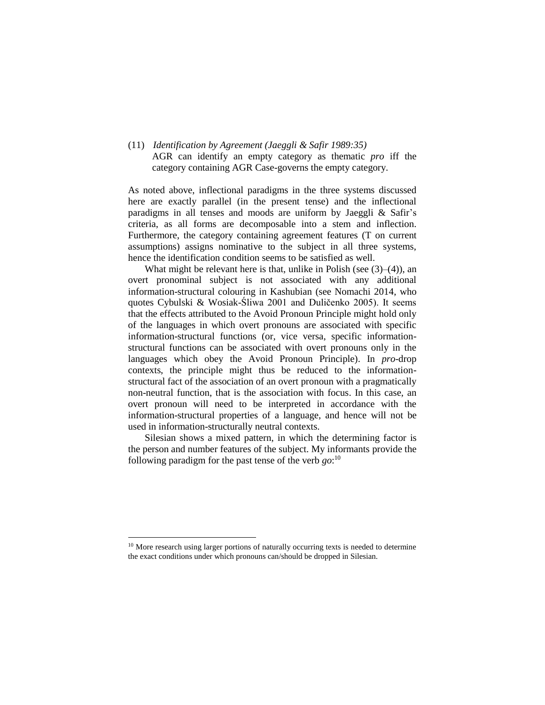(11) *Identification by Agreement (Jaeggli & Safir 1989:35)* AGR can identify an empty category as thematic *pro* iff the category containing AGR Case-governs the empty category.

As noted above, inflectional paradigms in the three systems discussed here are exactly parallel (in the present tense) and the inflectional paradigms in all tenses and moods are uniform by Jaeggli & Safir's criteria, as all forms are decomposable into a stem and inflection. Furthermore, the category containing agreement features (T on current assumptions) assigns nominative to the subject in all three systems, hence the identification condition seems to be satisfied as well.

What might be relevant here is that, unlike in Polish (see (3)–(4)), an overt pronominal subject is not associated with any additional information-structural colouring in Kashubian (see Nomachi 2014, who quotes Cybulski & Wosiak-Śliwa 2001 and Duličenko 2005). It seems that the effects attributed to the Avoid Pronoun Principle might hold only of the languages in which overt pronouns are associated with specific information-structural functions (or, vice versa, specific informationstructural functions can be associated with overt pronouns only in the languages which obey the Avoid Pronoun Principle). In *pro*-drop contexts, the principle might thus be reduced to the informationstructural fact of the association of an overt pronoun with a pragmatically non-neutral function, that is the association with focus. In this case, an overt pronoun will need to be interpreted in accordance with the information-structural properties of a language, and hence will not be used in information-structurally neutral contexts.

Silesian shows a mixed pattern, in which the determining factor is the person and number features of the subject. My informants provide the following paradigm for the past tense of the verb *go*: 10

1

<sup>&</sup>lt;sup>10</sup> More research using larger portions of naturally occurring texts is needed to determine the exact conditions under which pronouns can/should be dropped in Silesian.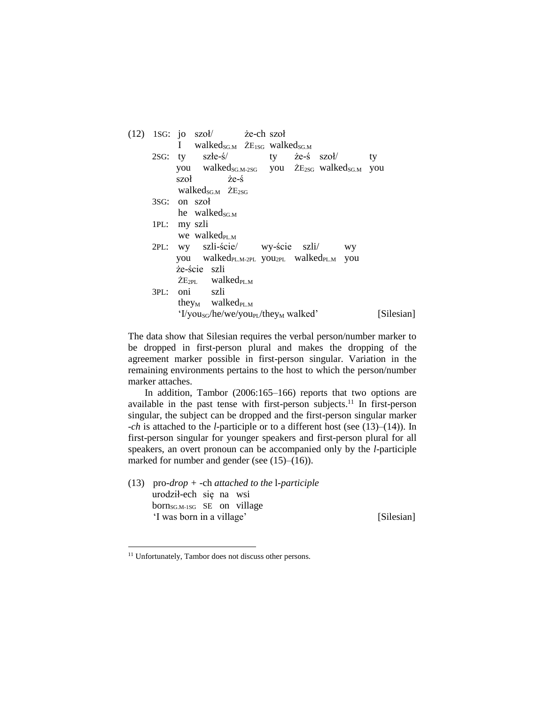|      | $(12)$ 1SG: jo szoł/ że-ch szoł<br>I walked <sub>SGM</sub> $\dot{Z}E_{1SG}$ walked <sub>SGM</sub> |          |
|------|---------------------------------------------------------------------------------------------------|----------|
|      | 2SG: ty szłe-ś/ ty że-ś szoł/                                                                     | ty       |
|      | you walked <sub>SG.M-2SG</sub> you $\angle$ E <sub>2SG</sub> walked <sub>SG.M</sub>               | you      |
|      | $szot \t \tilde{z}e-\tilde{s}$                                                                    |          |
|      | walked <sub>SG.M</sub> $\dot{Z}E_{2SG}$                                                           |          |
|      | 3SG: on szoł                                                                                      |          |
|      | he walked <sub>SGM</sub>                                                                          |          |
|      | 1PL: my szli                                                                                      |          |
|      | we walked <sub>pl. M</sub>                                                                        |          |
|      | 2PL: wy szli-ście/ wy-ście szli/<br><b>WY</b>                                                     |          |
|      | you walked <sub>PLM-2PL</sub> you <sub>2PL</sub> walked <sub>PLM</sub><br>you                     |          |
|      | że-ście szli                                                                                      |          |
|      | $\dot{Z}E_{2PL}$ walked <sub>PL.M</sub>                                                           |          |
| 3PL: | oni szli                                                                                          |          |
|      | they <sub>M</sub> walked <sub>PL.M</sub>                                                          |          |
|      | 'I/you <sub>sG</sub> /he/we/you <sub>PL</sub> /they <sub>M</sub> walked'                          | Silesian |
|      |                                                                                                   |          |

The data show that Silesian requires the verbal person/number marker to be dropped in first-person plural and makes the dropping of the agreement marker possible in first-person singular. Variation in the remaining environments pertains to the host to which the person/number marker attaches.

In addition, Tambor (2006:165–166) reports that two options are available in the past tense with first-person subjects.<sup>11</sup> In first-person singular, the subject can be dropped and the first-person singular marker -*ch* is attached to the *l*-participle or to a different host (see (13)–(14)). In first-person singular for younger speakers and first-person plural for all speakers, an overt pronoun can be accompanied only by the *l*-participle marked for number and gender (see (15)–(16)).

(13) pro*-drop + -*ch *attached to the* l*-participle* urodził-ech się na wsi born<sub>SG.M-1SG</sub> SE on village 'I was born in a village' [Silesian]

1

<sup>&</sup>lt;sup>11</sup> Unfortunately, Tambor does not discuss other persons.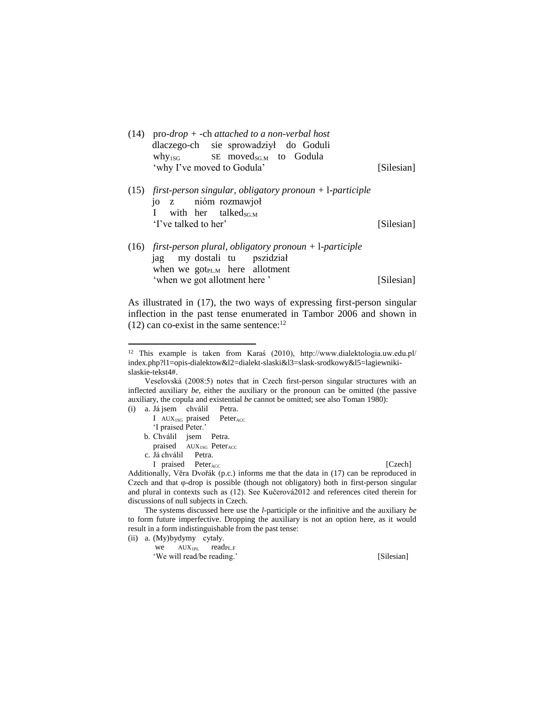| $(14)$ pro- <i>drop</i> + -ch attached to a non-verbal host<br>dlaczego-ch sie sprowadziył do Goduli<br>$why1SG$ SE moved <sub>SGM</sub> to Godula<br>'why I've moved to Godula' | [Silesian] |
|----------------------------------------------------------------------------------------------------------------------------------------------------------------------------------|------------|
| $(15)$ first-person singular, obligatory pronoun + 1-participle<br>jo z nióm rozmawjoł<br>with her talked <sub>sGM</sub><br>$\mathbf{I}$<br>'I've talked to her'                 | [Silesian] |
| $(16)$ first-person plural, obligatory pronoun + 1-participle<br>jag my dostali tu pszidział<br>when we got <sub>PLM</sub> here allotment<br>'when we got allotment here'        | [Silesian] |

As illustrated in (17), the two ways of expressing first-person singular inflection in the past tense enumerated in Tambor 2006 and shown in  $(12)$  can co-exist in the same sentence:<sup>12</sup>

Veselovská (2008:5) notes that in Czech first-person singular structures with an inflected auxiliary *be*, either the auxiliary or the pronoun can be omitted (the passive auxiliary, the copula and existential *be* cannot be omitted; see also Toman 1980):  $(i)$  a. Já jsem chválil Petra.

| a. Ja jsem chvalil Petra.                |                                            |
|------------------------------------------|--------------------------------------------|
|                                          | I $AUX_{1SG}$ praised Peter <sub>ACC</sub> |
| 'I praised Peter.'                       |                                            |
| b. Chválil jsem Petra.                   |                                            |
| praised $AUX_{1SG}$ Peter <sub>Acc</sub> |                                            |

c. Já chválil Petra.

-

I praised Peter<sub>ACC</sub> [Czech]

Additionally, Vĕra Dvořák (p.c.) informs me that the data in (17) can be reproduced in Czech and that φ-drop is possible (though not obligatory) both in first-person singular and plural in contexts such as (12). See Kučerová2012 and references cited therein for discussions of null subjects in Czech.

The systems discussed here use the *l*-participle or the infinitive and the auxiliary *be* to form future imperfective. Dropping the auxiliary is not an option here, as it would result in a form indistinguishable from the past tense: (ii) a. (My)bydymy cytały.

| (iviy)oyuyiny cytary. |                            |            |
|-----------------------|----------------------------|------------|
|                       | $we$ $AUX_{1PI}$ readpl. F |            |
|                       | 'We will read/be reading.' | [Silesian] |

<sup>12</sup> This example is taken from Karaś (2010), http://www.dialektologia.uw.edu.pl/ index.php?l1=opis-dialektow&l2=dialekt-slaski&l3=slask-srodkowy&l5=lagiewnikislaskie-tekst4#.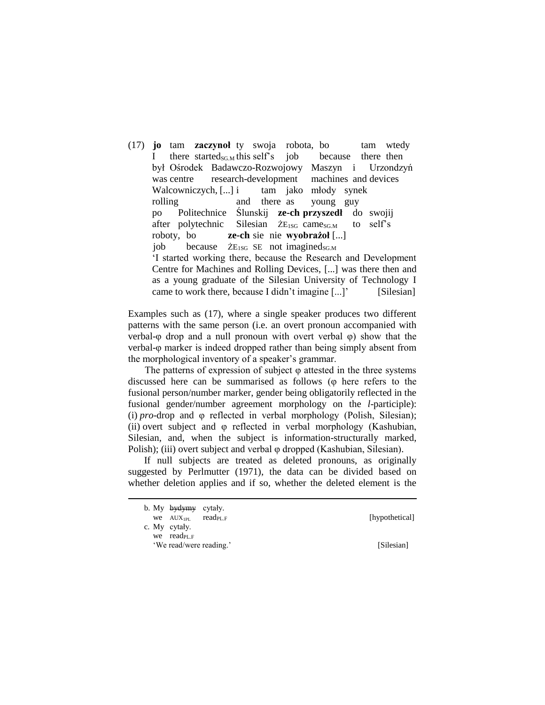(17) **jo** tam **zaczynoł** ty swoja robota, bo tam wtedy I there started<sub>SG.M</sub> this self's job because there then był Ośrodek Badawczo-Rozwojowy Maszyn i Urzondzyń was centre research-development machines and devices Walcowniczych, [...] i tam jako młody synek rolling and there as young guy po Politechnice Ślunskij **ze-ch przyszedł** do swojij after polytechnic Silesian  $\bar{Z}E_{1SG}$  came<sub>SGM</sub> to self's roboty, bo **ze-ch** sie nie **wyobrażoł** [...] job because  $\bar{Z}E_{1SG}$  SE not imagined<sub>SG.M</sub> 'I started working there, because the Research and Development Centre for Machines and Rolling Devices, [...] was there then and as a young graduate of the Silesian University of Technology I came to work there, because I didn't imagine [...]' [Silesian]

Examples such as (17), where a single speaker produces two different patterns with the same person (i.e. an overt pronoun accompanied with verbal-φ drop and a null pronoun with overt verbal φ) show that the verbal-φ marker is indeed dropped rather than being simply absent from the morphological inventory of a speaker's grammar.

The patterns of expression of subject  $\varphi$  attested in the three systems discussed here can be summarised as follows (φ here refers to the fusional person/number marker, gender being obligatorily reflected in the fusional gender/number agreement morphology on the *l*-participle): (i) *pro*-drop and φ reflected in verbal morphology (Polish, Silesian); (ii) overt subject and φ reflected in verbal morphology (Kashubian, Silesian, and, when the subject is information-structurally marked, Polish); (iii) overt subject and verbal φ dropped (Kashubian, Silesian).

If null subjects are treated as deleted pronouns, as originally suggested by Perlmutter (1971), the data can be divided based on whether deletion applies and if so, whether the deleted element is the

b. My bydymy cytały. we  $AUX_{IPL}$  readpl. F [hypothetical] c. My cytały. we read<sub>PL.F</sub>

**.** 

'We read/were reading.' [Silesian]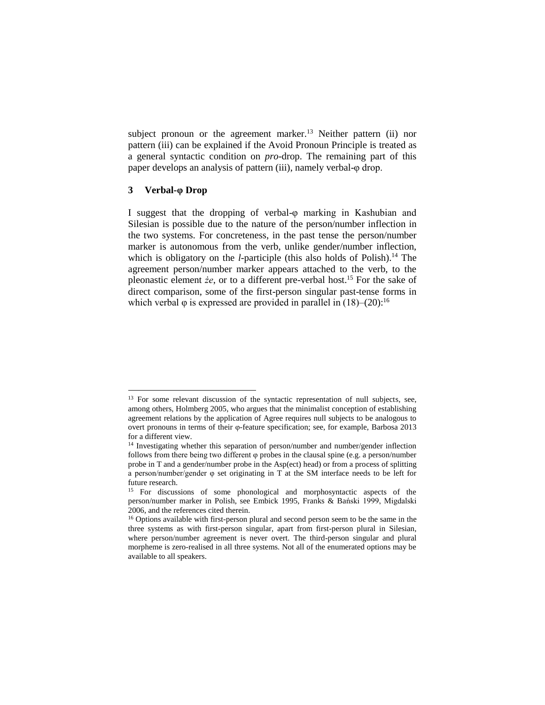subject pronoun or the agreement marker.<sup>13</sup> Neither pattern (ii) nor pattern (iii) can be explained if the Avoid Pronoun Principle is treated as a general syntactic condition on *pro*-drop. The remaining part of this paper develops an analysis of pattern (iii), namely verbal-φ drop.

#### **3 Verbal-φ Drop**

1

I suggest that the dropping of verbal-φ marking in Kashubian and Silesian is possible due to the nature of the person/number inflection in the two systems. For concreteness, in the past tense the person/number marker is autonomous from the verb, unlike gender/number inflection, which is obligatory on the *l*-participle (this also holds of Polish).<sup>14</sup> The agreement person/number marker appears attached to the verb, to the pleonastic element *że*, or to a different pre-verbal host.<sup>15</sup> For the sake of direct comparison, some of the first-person singular past-tense forms in which verbal  $\varphi$  is expressed are provided in parallel in (18)–(20):<sup>16</sup>

<sup>&</sup>lt;sup>13</sup> For some relevant discussion of the syntactic representation of null subjects, see, among others, Holmberg 2005, who argues that the minimalist conception of establishing agreement relations by the application of Agree requires null subjects to be analogous to overt pronouns in terms of their φ-feature specification; see, for example, Barbosa 2013 for a different view.

<sup>&</sup>lt;sup>14</sup> Investigating whether this separation of person/number and number/gender inflection follows from there being two different φ probes in the clausal spine (e.g. a person/number probe in T and a gender/number probe in the Asp(ect) head) or from a process of splitting a person/number/gender φ set originating in T at the SM interface needs to be left for future research.

<sup>&</sup>lt;sup>15</sup> For discussions of some phonological and morphosyntactic aspects of the person/number marker in Polish, see Embick 1995, Franks & Bański 1999, Migdalski 2006, and the references cited therein.

<sup>&</sup>lt;sup>16</sup> Options available with first-person plural and second person seem to be the same in the three systems as with first-person singular, apart from first-person plural in Silesian, where person/number agreement is never overt. The third-person singular and plural morpheme is zero-realised in all three systems. Not all of the enumerated options may be available to all speakers.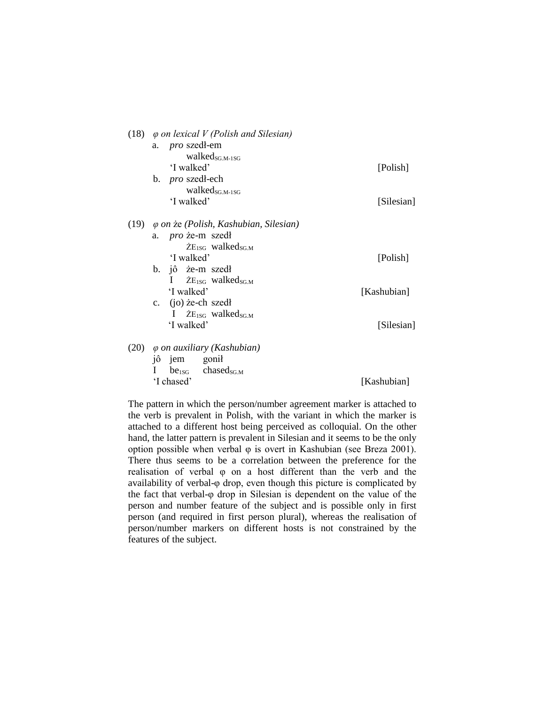|      | (18) $\varphi$ on lexical V (Polish and Silesian)                 |             |
|------|-------------------------------------------------------------------|-------------|
|      | a. <i>pro</i> szedł-em<br>$walked_{SG.M-1SG}$<br>'I walked'       | [Polish]    |
|      | b. <i>pro</i> szedł-ech                                           |             |
|      | walked <sub>SG M-1SG</sub><br>'I walked'                          | [Silesian]  |
| (19) | φ on że (Polish, Kashubian, Silesian)                             |             |
|      | a. <i>pro</i> że-m szedł<br>$\rm{ZE}_{1SG}$ walked <sub>SGM</sub> |             |
|      | 'I walked'                                                        | [Polish]    |
|      | b. jô że-m szedł<br>I $\bar{Z}E_{1SG}$ walked <sub>SG.M</sub>     |             |
|      | 'I walked'                                                        | [Kashubian] |
|      | c. $(i)$ <i>i</i> e-ch szedł                                      |             |
|      | I $\bar{Z}E_{1SG}$ walked <sub>SG.M</sub><br>'I walked'           | [Silesian]  |
| (20) | $\varphi$ on auxiliary (Kashubian)                                |             |
|      | jô jem gonił                                                      |             |
|      | I be <sub>1SG</sub> chased <sub>SG.M</sub><br>'I chased'          | [Kashubian] |

The pattern in which the person/number agreement marker is attached to the verb is prevalent in Polish, with the variant in which the marker is attached to a different host being perceived as colloquial. On the other hand, the latter pattern is prevalent in Silesian and it seems to be the only option possible when verbal φ is overt in Kashubian (see Breza 2001). There thus seems to be a correlation between the preference for the realisation of verbal φ on a host different than the verb and the availability of verbal-φ drop, even though this picture is complicated by the fact that verbal-φ drop in Silesian is dependent on the value of the person and number feature of the subject and is possible only in first person (and required in first person plural), whereas the realisation of person/number markers on different hosts is not constrained by the features of the subject.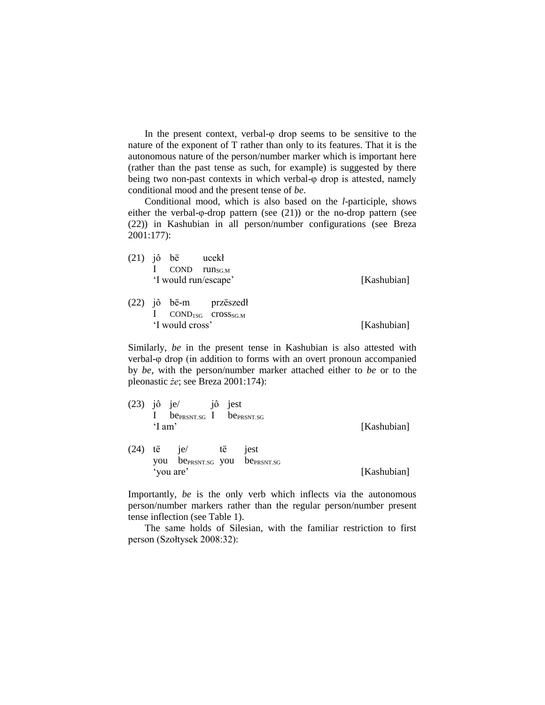In the present context, verbal- $\varphi$  drop seems to be sensitive to the nature of the exponent of T rather than only to its features. That it is the autonomous nature of the person/number marker which is important here (rather than the past tense as such, for example) is suggested by there being two non-past contexts in which verbal-φ drop is attested, namely conditional mood and the present tense of *be*.

Conditional mood, which is also based on the *l*-participle, shows either the verbal-φ-drop pattern (see (21)) or the no-drop pattern (see (22)) in Kashubian in all person/number configurations (see Breza 2001:177):

|  | $(21)$ jô bë ucekł   |                                           |             |
|--|----------------------|-------------------------------------------|-------------|
|  | <b>COND</b>          | $run_{SG.M}$                              |             |
|  | 'I would run/escape' |                                           | [Kashubian] |
|  |                      |                                           |             |
|  |                      | $(22)$ jô bë-m przëszedł                  |             |
|  |                      | $\text{COND}_{1SG}$ $\text{cross}_{SG.M}$ |             |
|  | 'I would cross'      |                                           | [Kashubian] |

Similarly, *be* in the present tense in Kashubian is also attested with verbal-φ drop (in addition to forms with an overt pronoun accompanied by *be*, with the person/number marker attached either to *be* or to the pleonastic *że*; see Breza 2001:174):

| (23) | jô je/<br>'I am'       | jô<br>$be_{PRSNT,SG}$ I be $_{PRSNT,SG}$                 | jest |                  | [Kashubian] |
|------|------------------------|----------------------------------------------------------|------|------------------|-------------|
| (24) | të<br>you<br>'you are' | je/<br>be <sub>PRSNT.SG</sub> you be <sub>PRSNT.SG</sub> | të   | <sub>1</sub> est | [Kashubian] |

Importantly, *be* is the only verb which inflects via the autonomous person/number markers rather than the regular person/number present tense inflection (see Table 1).

The same holds of Silesian, with the familiar restriction to first person (Szołtysek 2008:32):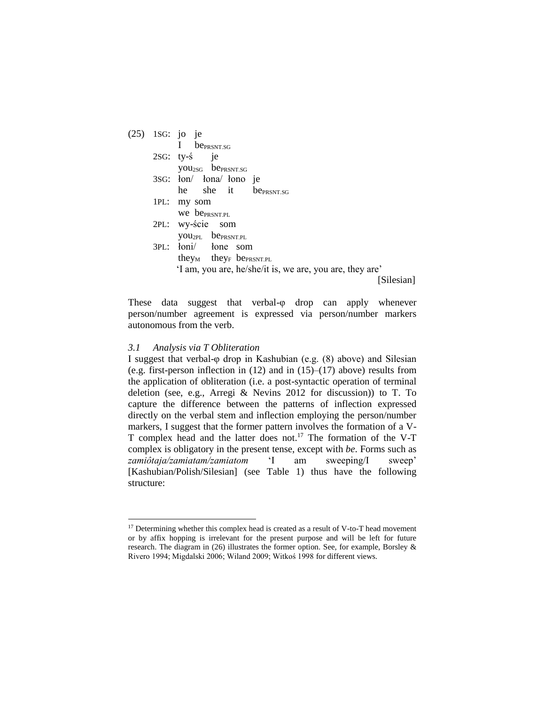| (25) | 1SG: jo je                                                 |
|------|------------------------------------------------------------|
|      | I be <sub>PRSNT.SG</sub>                                   |
|      | $2SG:$ ty- $\acute{s}$ je                                  |
|      | you <sub>2SG</sub> be <sub>PRSNT.SG</sub>                  |
|      | 3SG: łon/ łona/ łono je                                    |
|      | he she it be <sub>PRSNT SG</sub>                           |
|      | 1PL: my som                                                |
|      | We be <sub>PRSNT.PL</sub>                                  |
|      | 2PL: wy-ście som                                           |
|      | <b>you</b> <sub>2PL</sub> be <sub>PRSNT.PL</sub>           |
|      | 3PL: łoni/ łone som                                        |
|      | they <sub>M</sub> they <sub>F</sub> be <sub>PRSNT.PL</sub> |
|      | 'I am, you are, he/she/it is, we are, you are, they are'   |
|      | [Silesian]                                                 |
|      |                                                            |

These data suggest that verbal-φ drop can apply whenever person/number agreement is expressed via person/number markers autonomous from the verb.

#### *3.1 Analysis via T Obliteration*

1

I suggest that verbal-φ drop in Kashubian (e.g. (8) above) and Silesian (e.g. first-person inflection in  $(12)$  and in  $(15)$ – $(17)$  above) results from the application of obliteration (i.e. a post-syntactic operation of terminal deletion (see, e.g., Arregi & Nevins 2012 for discussion)) to T. To capture the difference between the patterns of inflection expressed directly on the verbal stem and inflection employing the person/number markers, I suggest that the former pattern involves the formation of a V-T complex head and the latter does not.<sup>17</sup> The formation of the V-T complex is obligatory in the present tense, except with *be*. Forms such as *zamiôtaja/zamiatam/zamiatom* 'I am sweeping/I sweep' [Kashubian/Polish/Silesian] (see Table 1) thus have the following structure:

<sup>&</sup>lt;sup>17</sup> Determining whether this complex head is created as a result of V-to-T head movement or by affix hopping is irrelevant for the present purpose and will be left for future research. The diagram in (26) illustrates the former option. See, for example, Borsley & Rivero 1994; Migdalski 2006; Wiland 2009; Witkoś 1998 for different views.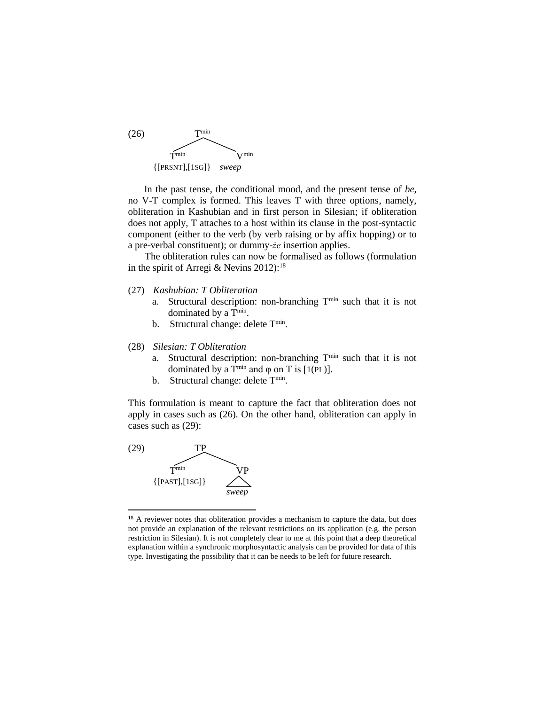

In the past tense, the conditional mood, and the present tense of *be*, no V-T complex is formed. This leaves T with three options, namely, obliteration in Kashubian and in first person in Silesian; if obliteration does not apply, T attaches to a host within its clause in the post-syntactic component (either to the verb (by verb raising or by affix hopping) or to a pre-verbal constituent); or dummy-*że* insertion applies.

The obliteration rules can now be formalised as follows (formulation in the spirit of Arregi & Nevins  $2012$ ):<sup>18</sup>

- (27) *Kashubian: T Obliteration*
	- a. Structural description: non-branching T<sup>min</sup> such that it is not dominated by a T<sup>min</sup>.
	- b. Structural change: delete T<sup>min</sup>.

#### (28) *Silesian: T Obliteration*

- a. Structural description: non-branching T<sup>min</sup> such that it is not dominated by a T<sup>min</sup> and  $\varphi$  on T is [1(PL)].
- b. Structural change: delete T<sup>min</sup>.

This formulation is meant to capture the fact that obliteration does not apply in cases such as (26). On the other hand, obliteration can apply in cases such as (29):



-

<sup>&</sup>lt;sup>18</sup> A reviewer notes that obliteration provides a mechanism to capture the data, but does not provide an explanation of the relevant restrictions on its application (e.g. the person restriction in Silesian). It is not completely clear to me at this point that a deep theoretical explanation within a synchronic morphosyntactic analysis can be provided for data of this type. Investigating the possibility that it can be needs to be left for future research.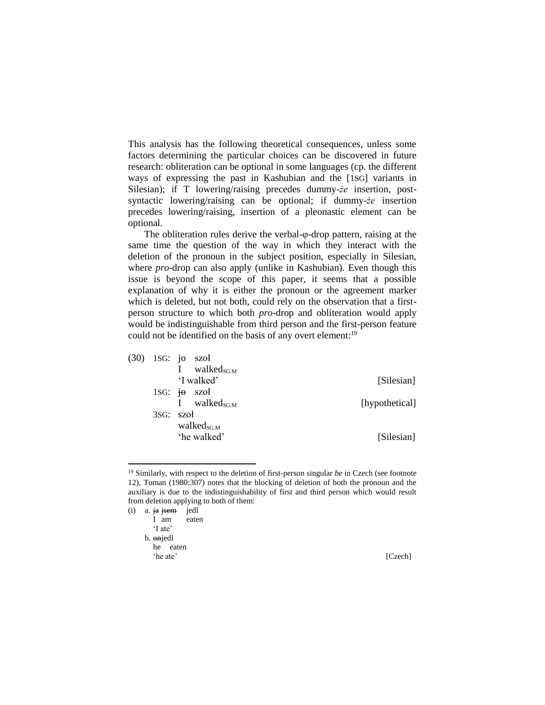This analysis has the following theoretical consequences, unless some factors determining the particular choices can be discovered in future research: obliteration can be optional in some languages (cp. the different ways of expressing the past in Kashubian and the [1SG] variants in Silesian); if T lowering/raising precedes dummy-*że* insertion, postsyntactic lowering/raising can be optional; if dummy-*że* insertion precedes lowering/raising, insertion of a pleonastic element can be optional.

The obliteration rules derive the verbal-φ-drop pattern, raising at the same time the question of the way in which they interact with the deletion of the pronoun in the subject position, especially in Silesian, where *pro*-drop can also apply (unlike in Kashubian). Even though this issue is beyond the scope of this paper, it seems that a possible explanation of why it is either the pronoun or the agreement marker which is deleted, but not both, could rely on the observation that a firstperson structure to which both *pro*-drop and obliteration would apply would be indistinguishable from third person and the first-person feature could not be identified on the basis of any overt element:<sup>19</sup>

|                | $(30)$ 1SG: jo szoł       |           |  |
|----------------|---------------------------|-----------|--|
|                | walke $d_{SGM}$           |           |  |
| [Silesian]     | 'I walked'                |           |  |
|                | 1SG: $\overline{10}$ szoł |           |  |
| [hypothetical] | walked <sub>SG.M</sub>    |           |  |
|                |                           | 3SG: szoł |  |
|                | walke $d_{SG,M}$          |           |  |
| [Silesian]     | 'he walked'               |           |  |
|                |                           |           |  |

<sup>&</sup>lt;sup>19</sup> Similarly, with respect to the deletion of first-person singular *be* in Czech (see footnote 12), Toman (1980:307) notes that the blocking of deletion of both the pronoun and the auxiliary is due to the indistinguishability of first and third person which would result from deletion applying to both of them:

-

<sup>(</sup>i) a. ja jsem jedl I am eaten 'I ate' b. onjedl he eaten 'he ate' [Czech]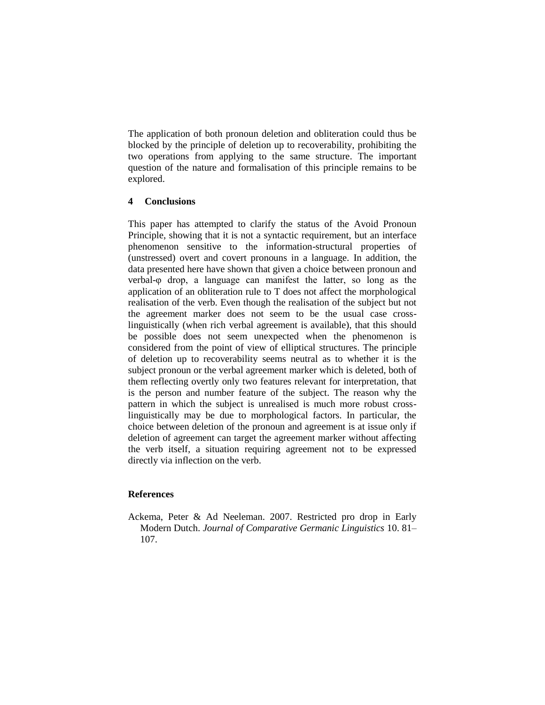The application of both pronoun deletion and obliteration could thus be blocked by the principle of deletion up to recoverability, prohibiting the two operations from applying to the same structure. The important question of the nature and formalisation of this principle remains to be explored.

# **4 Conclusions**

This paper has attempted to clarify the status of the Avoid Pronoun Principle, showing that it is not a syntactic requirement, but an interface phenomenon sensitive to the information-structural properties of (unstressed) overt and covert pronouns in a language. In addition, the data presented here have shown that given a choice between pronoun and verbal-φ drop, a language can manifest the latter, so long as the application of an obliteration rule to T does not affect the morphological realisation of the verb. Even though the realisation of the subject but not the agreement marker does not seem to be the usual case crosslinguistically (when rich verbal agreement is available), that this should be possible does not seem unexpected when the phenomenon is considered from the point of view of elliptical structures. The principle of deletion up to recoverability seems neutral as to whether it is the subject pronoun or the verbal agreement marker which is deleted, both of them reflecting overtly only two features relevant for interpretation, that is the person and number feature of the subject. The reason why the pattern in which the subject is unrealised is much more robust crosslinguistically may be due to morphological factors. In particular, the choice between deletion of the pronoun and agreement is at issue only if deletion of agreement can target the agreement marker without affecting the verb itself, a situation requiring agreement not to be expressed directly via inflection on the verb.

## **References**

Ackema, Peter & Ad Neeleman. 2007. Restricted pro drop in Early Modern Dutch. *Journal of Comparative Germanic Linguistics* 10. 81– 107.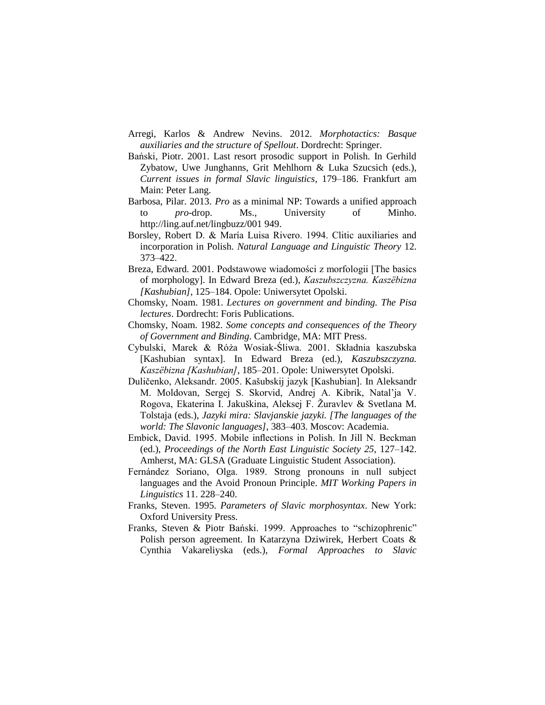- Arregi, Karlos & Andrew Nevins. 2012. *Morphotactics: Basque auxiliaries and the structure of Spellout*. Dordrecht: Springer.
- Bański, Piotr. 2001. Last resort prosodic support in Polish. In Gerhild Zybatow, Uwe Junghanns, Grit Mehlhorn & Luka Szucsich (eds.), *Current issues in formal Slavic linguistics*, 179–186. Frankfurt am Main: Peter Lang.
- Barbosa, Pilar. 2013. *Pro* as a minimal NP: Towards a unified approach to *pro*-drop. Ms., University of Minho. http://ling.auf.net/lingbuzz/001 949.
- Borsley, Robert D. & María Luisa Rivero. 1994. Clitic auxiliaries and incorporation in Polish. *Natural Language and Linguistic Theory* 12. 373–422.
- Breza, Edward. 2001. Podstawowe wiadomości z morfologii [The basics of morphology]. In Edward Breza (ed.), *Kaszubszczyzna. Kaszëbizna [Kashubian]*, 125–184. Opole: Uniwersytet Opolski.
- Chomsky, Noam. 1981. *Lectures on government and binding. The Pisa lectures*. Dordrecht: Foris Publications.
- Chomsky, Noam. 1982. *Some concepts and consequences of the Theory of Government and Binding*. Cambridge, MA: MIT Press.
- Cybulski, Marek & Róża Wosiak-Śliwa. 2001. Składnia kaszubska [Kashubian syntax]. In Edward Breza (ed.), *Kaszubszczyzna. Kaszëbizna [Kashubian]*, 185–201. Opole: Uniwersytet Opolski.
- Duličenko, Aleksandr. 2005. Kašubskij jazyk [Kashubian]. In Aleksandr M. Moldovan, Sergej S. Skorvid, Andrej A. Kibrik, Natal'ja V. Rogova, Ekaterina I. Jakuškina, Aleksej F. Žuravlev & Svetlana M. Tolstaja (eds.), *Jazyki mira: Slavjanskie jazyki. [The languages of the world: The Slavonic languages]*, 383–403. Moscov: Academia.
- Embick, David. 1995. Mobile inflections in Polish. In Jill N. Beckman (ed.), *Proceedings of the North East Linguistic Society 25*, 127–142. Amherst, MA: GLSA (Graduate Linguistic Student Association).
- Fernández Soriano, Olga. 1989. Strong pronouns in null subject languages and the Avoid Pronoun Principle. *MIT Working Papers in Linguistics* 11. 228–240.
- Franks, Steven. 1995. *Parameters of Slavic morphosyntax*. New York: Oxford University Press.
- Franks, Steven & Piotr Bański. 1999. Approaches to "schizophrenic" Polish person agreement. In Katarzyna Dziwirek, Herbert Coats & Cynthia Vakareliyska (eds.), *Formal Approaches to Slavic*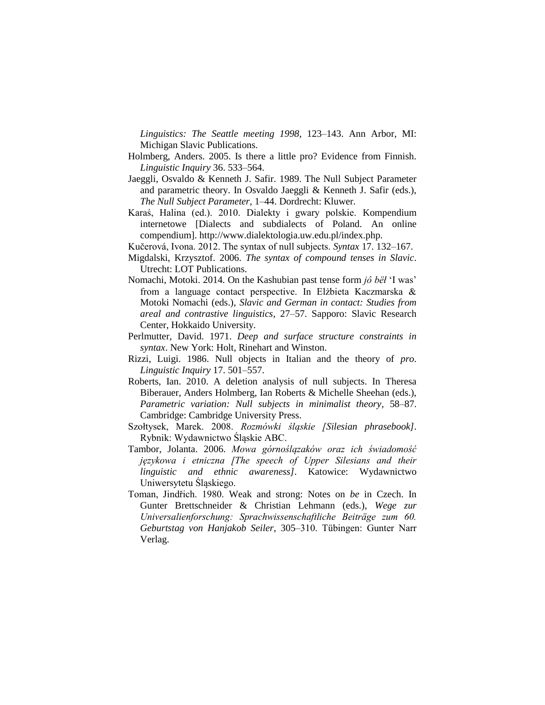*Linguistics: The Seattle meeting 1998*, 123–143. Ann Arbor, MI: Michigan Slavic Publications.

- Holmberg, Anders. 2005. Is there a little pro? Evidence from Finnish. *Linguistic Inquiry* 36. 533–564.
- Jaeggli, Osvaldo & Kenneth J. Safir. 1989. The Null Subject Parameter and parametric theory. In Osvaldo Jaeggli & Kenneth J. Safir (eds.), *The Null Subject Parameter*, 1–44. Dordrecht: Kluwer.
- Karaś, Halina (ed.). 2010. Dialekty i gwary polskie. Kompendium internetowe [Dialects and subdialects of Poland. An online compendium]. http://www.dialektologia.uw.edu.pl/index.php.
- Kučerová, Ivona. 2012. The syntax of null subjects. *Syntax* 17. 132–167.
- Migdalski, Krzysztof. 2006. *The syntax of compound tenses in Slavic*. Utrecht: LOT Publications.
- Nomachi, Motoki. 2014. On the Kashubian past tense form *jô bëł* 'I was' from a language contact perspective. In Elżbieta Kaczmarska & Motoki Nomachi (eds.), *Slavic and German in contact: Studies from areal and contrastive linguistics*, 27–57. Sapporo: Slavic Research Center, Hokkaido University.
- Perlmutter, David. 1971. *Deep and surface structure constraints in syntax*. New York: Holt, Rinehart and Winston.
- Rizzi, Luigi. 1986. Null objects in Italian and the theory of *pro*. *Linguistic Inquiry* 17. 501–557.
- Roberts, Ian. 2010. A deletion analysis of null subjects. In Theresa Biberauer, Anders Holmberg, Ian Roberts & Michelle Sheehan (eds.), *Parametric variation: Null subjects in minimalist theory*, 58–87. Cambridge: Cambridge University Press.
- Szołtysek, Marek. 2008. *Rozmówki śląskie [Silesian phrasebook]*. Rybnik: Wydawnictwo Śląskie ABC.
- Tambor, Jolanta. 2006. *Mowa górnoślązaków oraz ich świadomość językowa i etniczna [The speech of Upper Silesians and their linguistic and ethnic awareness]*. Katowice: Wydawnictwo Uniwersytetu Śląskiego.
- Toman, Jindřich. 1980. Weak and strong: Notes on *be* in Czech. In Gunter Brettschneider & Christian Lehmann (eds.), *Wege zur Universalienforschung: Sprachwissenschaftliche Beiträge zum 60. Geburtstag von Hanjakob Seiler*, 305–310. Tübingen: Gunter Narr Verlag.